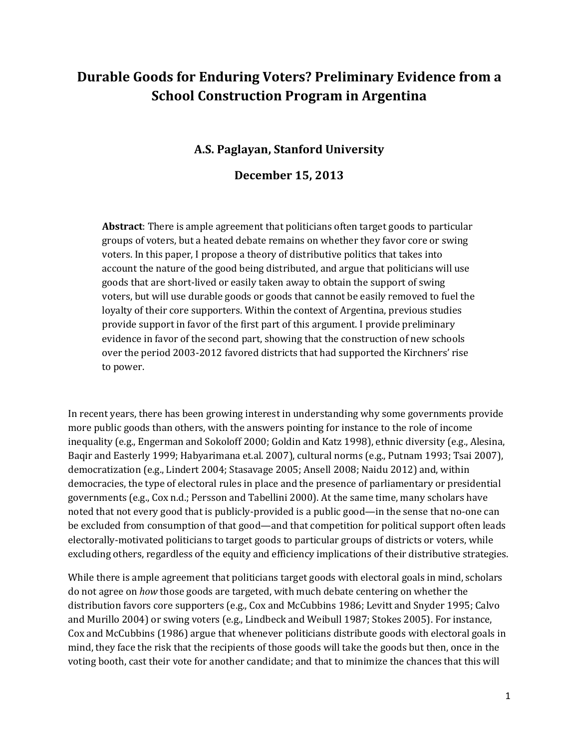# **Durable Goods for Enduring Voters? Preliminary Evidence from a School Construction Program in Argentina**

## **A.S. Paglayan, Stanford University**

## **December 15, 2013**

**Abstract**: There is ample agreement that politicians often target goods to particular groups of voters, but a heated debate remains on whether they favor core or swing voters. In this paper, I propose a theory of distributive politics that takes into account the nature of the good being distributed, and argue that politicians will use goods that are short-lived or easily taken away to obtain the support of swing voters, but will use durable goods or goods that cannot be easily removed to fuel the loyalty of their core supporters. Within the context of Argentina, previous studies provide support in favor of the first part of this argument. I provide preliminary evidence in favor of the second part, showing that the construction of new schools over the period 2003-2012 favored districts that had supported the Kirchners' rise to power.

In recent years, there has been growing interest in understanding why some governments provide more public goods than others, with the answers pointing for instance to the role of income inequality (e.g., Engerman and Sokoloff 2000; Goldin and Katz 1998), ethnic diversity (e.g., Alesina, Baqir and Easterly 1999; Habyarimana et.al. 2007), cultural norms (e.g., Putnam 1993; Tsai 2007), democratization (e.g., Lindert 2004; Stasavage 2005; Ansell 2008; Naidu 2012) and, within democracies, the type of electoral rules in place and the presence of parliamentary or presidential governments (e.g., Cox n.d.; Persson and Tabellini 2000). At the same time, many scholars have noted that not every good that is publicly-provided is a public good—in the sense that no-one can be excluded from consumption of that good—and that competition for political support often leads electorally-motivated politicians to target goods to particular groups of districts or voters, while excluding others, regardless of the equity and efficiency implications of their distributive strategies.

While there is ample agreement that politicians target goods with electoral goals in mind, scholars do not agree on *how* those goods are targeted, with much debate centering on whether the distribution favors core supporters (e.g., Cox and McCubbins 1986; Levitt and Snyder 1995; Calvo and Murillo 2004) or swing voters (e.g., Lindbeck and Weibull 1987; Stokes 2005). For instance, Cox and McCubbins (1986) argue that whenever politicians distribute goods with electoral goals in mind, they face the risk that the recipients of those goods will take the goods but then, once in the voting booth, cast their vote for another candidate; and that to minimize the chances that this will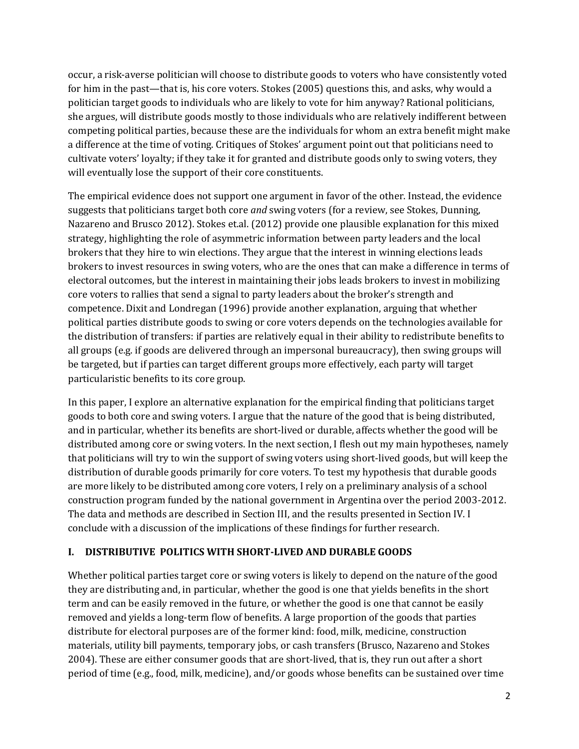occur, a risk-averse politician will choose to distribute goods to voters who have consistently voted for him in the past—that is, his core voters. Stokes (2005) questions this, and asks, why would a politician target goods to individuals who are likely to vote for him anyway? Rational politicians, she argues, will distribute goods mostly to those individuals who are relatively indifferent between competing political parties, because these are the individuals for whom an extra benefit might make a difference at the time of voting. Critiques of Stokes' argument point out that politicians need to cultivate voters' loyalty; if they take it for granted and distribute goods only to swing voters, they will eventually lose the support of their core constituents.

The empirical evidence does not support one argument in favor of the other. Instead, the evidence suggests that politicians target both core *and* swing voters (for a review, see Stokes, Dunning, Nazareno and Brusco 2012). Stokes et.al. (2012) provide one plausible explanation for this mixed strategy, highlighting the role of asymmetric information between party leaders and the local brokers that they hire to win elections. They argue that the interest in winning elections leads brokers to invest resources in swing voters, who are the ones that can make a difference in terms of electoral outcomes, but the interest in maintaining their jobs leads brokers to invest in mobilizing core voters to rallies that send a signal to party leaders about the broker's strength and competence. Dixit and Londregan (1996) provide another explanation, arguing that whether political parties distribute goods to swing or core voters depends on the technologies available for the distribution of transfers: if parties are relatively equal in their ability to redistribute benefits to all groups (e.g. if goods are delivered through an impersonal bureaucracy), then swing groups will be targeted, but if parties can target different groups more effectively, each party will target particularistic benefits to its core group.

In this paper, I explore an alternative explanation for the empirical finding that politicians target goods to both core and swing voters. I argue that the nature of the good that is being distributed, and in particular, whether its benefits are short-lived or durable, affects whether the good will be distributed among core or swing voters. In the next section, I flesh out my main hypotheses, namely that politicians will try to win the support of swing voters using short-lived goods, but will keep the distribution of durable goods primarily for core voters. To test my hypothesis that durable goods are more likely to be distributed among core voters, I rely on a preliminary analysis of a school construction program funded by the national government in Argentina over the period 2003-2012. The data and methods are described in Section III, and the results presented in Section IV. I conclude with a discussion of the implications of these findings for further research.

## **I. DISTRIBUTIVE POLITICS WITH SHORT-LIVED AND DURABLE GOODS**

Whether political parties target core or swing voters is likely to depend on the nature of the good they are distributing and, in particular, whether the good is one that yields benefits in the short term and can be easily removed in the future, or whether the good is one that cannot be easily removed and yields a long-term flow of benefits. A large proportion of the goods that parties distribute for electoral purposes are of the former kind: food, milk, medicine, construction materials, utility bill payments, temporary jobs, or cash transfers (Brusco, Nazareno and Stokes 2004). These are either consumer goods that are short-lived, that is, they run out after a short period of time (e.g., food, milk, medicine), and/or goods whose benefits can be sustained over time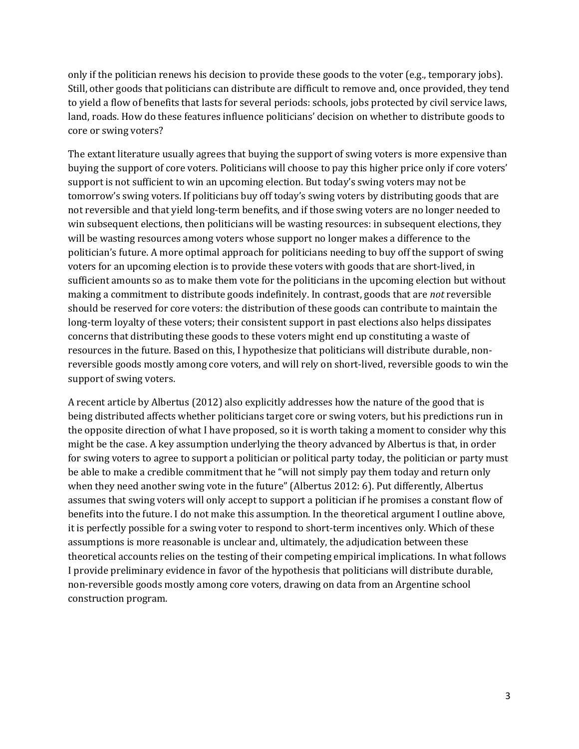only if the politician renews his decision to provide these goods to the voter (e.g., temporary jobs). Still, other goods that politicians can distribute are difficult to remove and, once provided, they tend to yield a flow of benefits that lasts for several periods: schools, jobs protected by civil service laws, land, roads. How do these features influence politicians' decision on whether to distribute goods to core or swing voters?

The extant literature usually agrees that buying the support of swing voters is more expensive than buying the support of core voters. Politicians will choose to pay this higher price only if core voters' support is not sufficient to win an upcoming election. But today's swing voters may not be tomorrow's swing voters. If politicians buy off today's swing voters by distributing goods that are not reversible and that yield long-term benefits, and if those swing voters are no longer needed to win subsequent elections, then politicians will be wasting resources: in subsequent elections, they will be wasting resources among voters whose support no longer makes a difference to the politician's future. A more optimal approach for politicians needing to buy off the support of swing voters for an upcoming election is to provide these voters with goods that are short-lived, in sufficient amounts so as to make them vote for the politicians in the upcoming election but without making a commitment to distribute goods indefinitely. In contrast, goods that are *not* reversible should be reserved for core voters: the distribution of these goods can contribute to maintain the long-term loyalty of these voters; their consistent support in past elections also helps dissipates concerns that distributing these goods to these voters might end up constituting a waste of resources in the future. Based on this, I hypothesize that politicians will distribute durable, nonreversible goods mostly among core voters, and will rely on short-lived, reversible goods to win the support of swing voters.

A recent article by Albertus (2012) also explicitly addresses how the nature of the good that is being distributed affects whether politicians target core or swing voters, but his predictions run in the opposite direction of what I have proposed, so it is worth taking a moment to consider why this might be the case. A key assumption underlying the theory advanced by Albertus is that, in order for swing voters to agree to support a politician or political party today, the politician or party must be able to make a credible commitment that he "will not simply pay them today and return only when they need another swing vote in the future" (Albertus 2012: 6). Put differently, Albertus assumes that swing voters will only accept to support a politician if he promises a constant flow of benefits into the future. I do not make this assumption. In the theoretical argument I outline above, it is perfectly possible for a swing voter to respond to short-term incentives only. Which of these assumptions is more reasonable is unclear and, ultimately, the adjudication between these theoretical accounts relies on the testing of their competing empirical implications. In what follows I provide preliminary evidence in favor of the hypothesis that politicians will distribute durable, non-reversible goods mostly among core voters, drawing on data from an Argentine school construction program.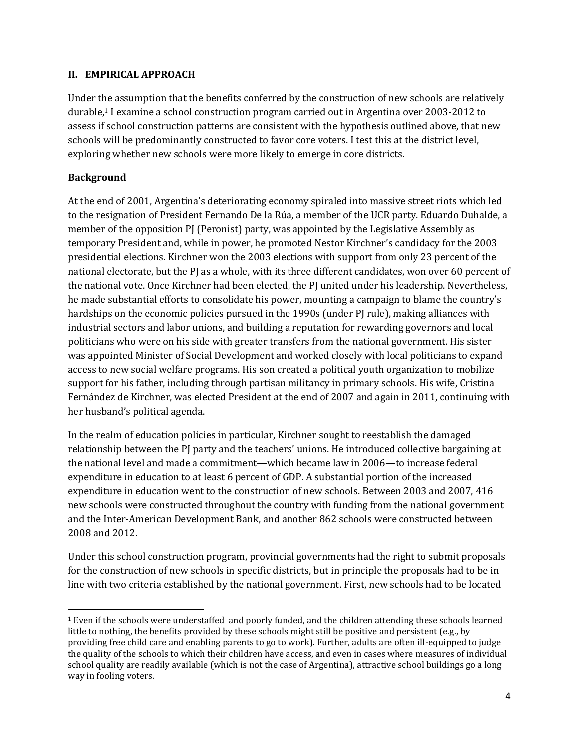#### **II. EMPIRICAL APPROACH**

Under the assumption that the benefits conferred by the construction of new schools are relatively durable,<sup>1</sup> I examine a school construction program carried out in Argentina over 2003-2012 to assess if school construction patterns are consistent with the hypothesis outlined above, that new schools will be predominantly constructed to favor core voters. I test this at the district level, exploring whether new schools were more likely to emerge in core districts.

## **Background**

 $\overline{\phantom{a}}$ 

At the end of 2001, Argentina's deteriorating economy spiraled into massive street riots which led to the resignation of President Fernando De la Rúa, a member of the UCR party. Eduardo Duhalde, a member of the opposition PJ (Peronist) party, was appointed by the Legislative Assembly as temporary President and, while in power, he promoted Nestor Kirchner's candidacy for the 2003 presidential elections. Kirchner won the 2003 elections with support from only 23 percent of the national electorate, but the PJ as a whole, with its three different candidates, won over 60 percent of the national vote. Once Kirchner had been elected, the PJ united under his leadership. Nevertheless, he made substantial efforts to consolidate his power, mounting a campaign to blame the country's hardships on the economic policies pursued in the 1990s (under PJ rule), making alliances with industrial sectors and labor unions, and building a reputation for rewarding governors and local politicians who were on his side with greater transfers from the national government. His sister was appointed Minister of Social Development and worked closely with local politicians to expand access to new social welfare programs. His son created a political youth organization to mobilize support for his father, including through partisan militancy in primary schools. His wife, Cristina Fernández de Kirchner, was elected President at the end of 2007 and again in 2011, continuing with her husband's political agenda.

In the realm of education policies in particular, Kirchner sought to reestablish the damaged relationship between the PJ party and the teachers' unions. He introduced collective bargaining at the national level and made a commitment—which became law in 2006—to increase federal expenditure in education to at least 6 percent of GDP. A substantial portion of the increased expenditure in education went to the construction of new schools. Between 2003 and 2007, 416 new schools were constructed throughout the country with funding from the national government and the Inter-American Development Bank, and another 862 schools were constructed between 2008 and 2012.

Under this school construction program, provincial governments had the right to submit proposals for the construction of new schools in specific districts, but in principle the proposals had to be in line with two criteria established by the national government. First, new schools had to be located

<sup>1</sup> Even if the schools were understaffed and poorly funded, and the children attending these schools learned little to nothing, the benefits provided by these schools might still be positive and persistent (e.g., by providing free child care and enabling parents to go to work). Further, adults are often ill-equipped to judge the quality of the schools to which their children have access, and even in cases where measures of individual school quality are readily available (which is not the case of Argentina), attractive school buildings go a long way in fooling voters.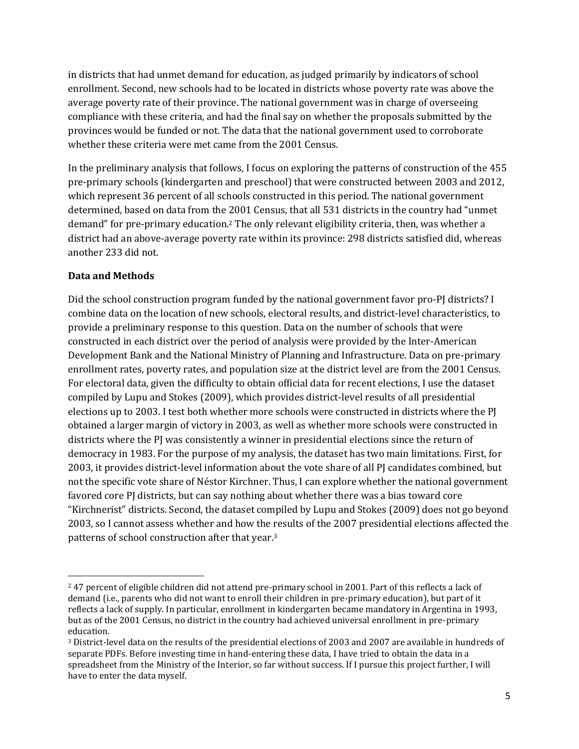in districts that had unmet demand for education, as judged primarily by indicators of school enrollment. Second, new schools had to be located in districts whose poverty rate was above the average poverty rate of their province. The national government was in charge of overseeing compliance with these criteria, and had the final say on whether the proposals submitted by the provinces would be funded or not. The data that the national government used to corroborate whether these criteria were met came from the 2001 Census.

In the preliminary analysis that follows, I focus on exploring the patterns of construction of the 455 pre-primary schools (kindergarten and preschool) that were constructed between 2003 and 2012, which represent 36 percent of all schools constructed in this period. The national government determined, based on data from the 2001 Census, that all 531 districts in the country had "unmet demand" for pre-primary education.<sup>2</sup> The only relevant eligibility criteria, then, was whether a district had an above-average poverty rate within its province: 298 districts satisfied did, whereas another 233 did not.

## **Data and Methods**

 $\overline{a}$ 

Did the school construction program funded by the national government favor pro-PJ districts? I combine data on the location of new schools, electoral results, and district-level characteristics, to provide a preliminary response to this question. Data on the number of schools that were constructed in each district over the period of analysis were provided by the Inter-American Development Bank and the National Ministry of Planning and Infrastructure. Data on pre-primary enrollment rates, poverty rates, and population size at the district level are from the 2001 Census. For electoral data, given the difficulty to obtain official data for recent elections, I use the dataset compiled by Lupu and Stokes (2009), which provides district-level results of all presidential elections up to 2003. I test both whether more schools were constructed in districts where the PJ obtained a larger margin of victory in 2003, as well as whether more schools were constructed in districts where the PJ was consistently a winner in presidential elections since the return of democracy in 1983. For the purpose of my analysis, the dataset has two main limitations. First, for 2003, it provides district-level information about the vote share of all PJ candidates combined, but not the specific vote share of Néstor Kirchner. Thus, I can explore whether the national government favored core PJ districts, but can say nothing about whether there was a bias toward core "Kirchnerist" districts. Second, the dataset compiled by Lupu and Stokes (2009) does not go beyond 2003, so I cannot assess whether and how the results of the 2007 presidential elections affected the patterns of school construction after that year.<sup>3</sup>

<sup>&</sup>lt;sup>2</sup> 47 percent of eligible children did not attend pre-primary school in 2001. Part of this reflects a lack of demand (i.e., parents who did not want to enroll their children in pre-primary education), but part of it reflects a lack of supply. In particular, enrollment in kindergarten became mandatory in Argentina in 1993, but as of the 2001 Census, no district in the country had achieved universal enrollment in pre-primary education.

<sup>3</sup> District-level data on the results of the presidential elections of 2003 and 2007 are available in hundreds of separate PDFs. Before investing time in hand-entering these data, I have tried to obtain the data in a spreadsheet from the Ministry of the Interior, so far without success. If I pursue this project further, I will have to enter the data myself.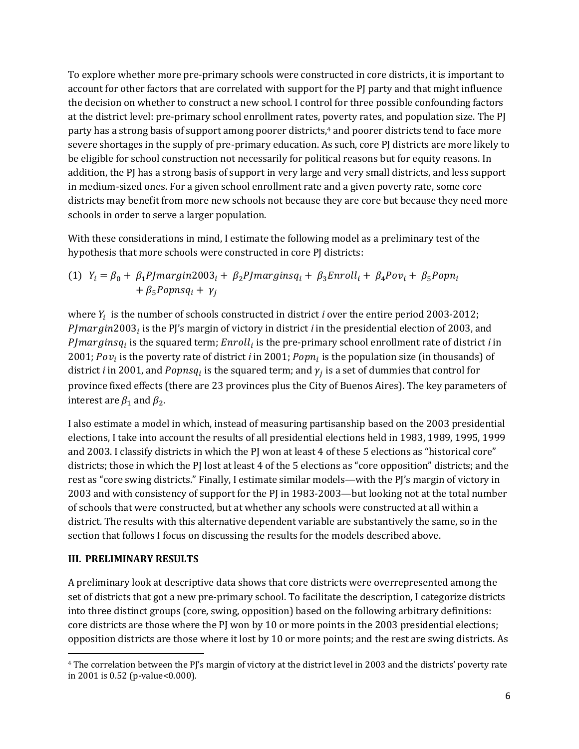To explore whether more pre-primary schools were constructed in core districts, it is important to account for other factors that are correlated with support for the PJ party and that might influence the decision on whether to construct a new school. I control for three possible confounding factors at the district level: pre-primary school enrollment rates, poverty rates, and population size. The PJ party has a strong basis of support among poorer districts, <sup>4</sup> and poorer districts tend to face more severe shortages in the supply of pre-primary education. As such, core PJ districts are more likely to be eligible for school construction not necessarily for political reasons but for equity reasons. In addition, the PJ has a strong basis of support in very large and very small districts, and less support in medium-sized ones. For a given school enrollment rate and a given poverty rate, some core districts may benefit from more new schools not because they are core but because they need more schools in order to serve a larger population.

With these considerations in mind, I estimate the following model as a preliminary test of the hypothesis that more schools were constructed in core PJ districts:

(1) 
$$
Y_i = \beta_0 + \beta_1 P J m argin2003_i + \beta_2 P J m arginsq_i + \beta_3 Enroll_i + \beta_4 P o v_i + \beta_5 P o p n_i + \beta_5 P o p n s q_i + \gamma_j
$$

where  $Y_i$  is the number of schools constructed in district  $i$  over the entire period 2003-2012; PJmargin2003<sub>i</sub> is the PJ's margin of victory in district *i* in the presidential election of 2003, and  $P$ J $marginsq_i$  is the squared term;  $Enroll_i$  is the pre-primary school enrollment rate of district  $i$  in 2001; Pov<sub>i</sub> is the poverty rate of district *i* in 2001; Popn<sub>i</sub> is the population size (in thousands) of district *i* in 2001, and  $Popnsq_i$  is the squared term; and  $\gamma_j$  is a set of dummies that control for province fixed effects (there are 23 provinces plus the City of Buenos Aires). The key parameters of interest are  $\beta_1$  and  $\beta_2$ .

I also estimate a model in which, instead of measuring partisanship based on the 2003 presidential elections, I take into account the results of all presidential elections held in 1983, 1989, 1995, 1999 and 2003. I classify districts in which the PJ won at least 4 of these 5 elections as "historical core" districts; those in which the PJ lost at least 4 of the 5 elections as "core opposition" districts; and the rest as "core swing districts." Finally, I estimate similar models—with the PJ's margin of victory in 2003 and with consistency of support for the PJ in 1983-2003—but looking not at the total number of schools that were constructed, but at whether any schools were constructed at all within a district. The results with this alternative dependent variable are substantively the same, so in the section that follows I focus on discussing the results for the models described above.

#### **III. PRELIMINARY RESULTS**

 $\overline{\phantom{a}}$ 

A preliminary look at descriptive data shows that core districts were overrepresented among the set of districts that got a new pre-primary school. To facilitate the description, I categorize districts into three distinct groups (core, swing, opposition) based on the following arbitrary definitions: core districts are those where the PJ won by 10 or more points in the 2003 presidential elections; opposition districts are those where it lost by 10 or more points; and the rest are swing districts. As

<sup>4</sup> The correlation between the PJ's margin of victory at the district level in 2003 and the districts' poverty rate in 2001 is 0.52 (p-value<0.000).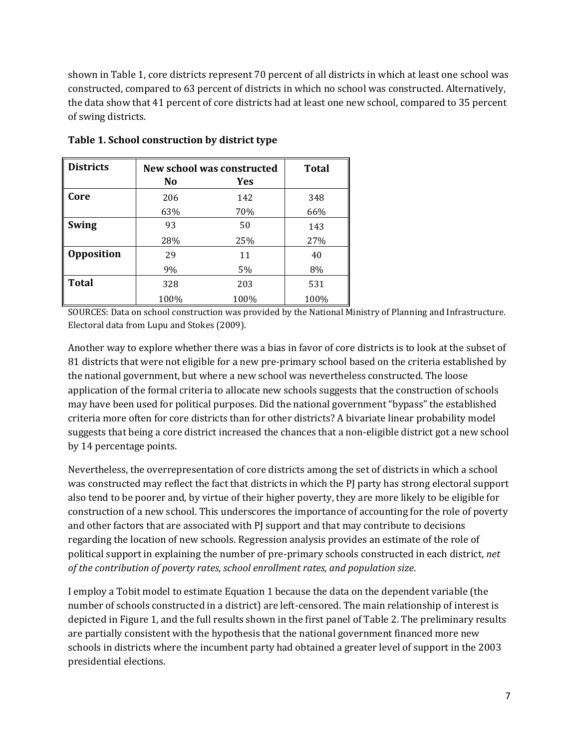shown in Table 1, core districts represent 70 percent of all districts in which at least one school was constructed, compared to 63 percent of districts in which no school was constructed. Alternatively, the data show that 41 percent of core districts had at least one new school, compared to 35 percent of swing districts.

| <b>Districts</b>  | New school was constructed |      | <b>Total</b> |
|-------------------|----------------------------|------|--------------|
|                   | No                         | Yes  |              |
| Core              | 206                        | 142  | 348          |
|                   | 63%                        | 70%  | 66%          |
| <b>Swing</b>      | 93                         | 50   | 143          |
|                   | 28%                        | 25%  | 27%          |
| <b>Opposition</b> | 29                         | 11   | 40           |
|                   | 9%                         | 5%   | 8%           |
| <b>Total</b>      | 328                        | 203  | 531          |
|                   | 100%                       | 100% | 100%         |

**Table 1. School construction by district type**

SOURCES: Data on school construction was provided by the National Ministry of Planning and Infrastructure. Electoral data from Lupu and Stokes (2009).

Another way to explore whether there was a bias in favor of core districts is to look at the subset of 81 districts that were not eligible for a new pre-primary school based on the criteria established by the national government, but where a new school was nevertheless constructed. The loose application of the formal criteria to allocate new schools suggests that the construction of schools may have been used for political purposes. Did the national government "bypass" the established criteria more often for core districts than for other districts? A bivariate linear probability model suggests that being a core district increased the chances that a non-eligible district got a new school by 14 percentage points.

Nevertheless, the overrepresentation of core districts among the set of districts in which a school was constructed may reflect the fact that districts in which the PJ party has strong electoral support also tend to be poorer and, by virtue of their higher poverty, they are more likely to be eligible for construction of a new school. This underscores the importance of accounting for the role of poverty and other factors that are associated with PJ support and that may contribute to decisions regarding the location of new schools. Regression analysis provides an estimate of the role of political support in explaining the number of pre-primary schools constructed in each district, *net of the contribution of poverty rates, school enrollment rates, and population size*.

I employ a Tobit model to estimate Equation 1 because the data on the dependent variable (the number of schools constructed in a district) are left-censored. The main relationship of interest is depicted in Figure 1, and the full results shown in the first panel of Table 2. The preliminary results are partially consistent with the hypothesis that the national government financed more new schools in districts where the incumbent party had obtained a greater level of support in the 2003 presidential elections.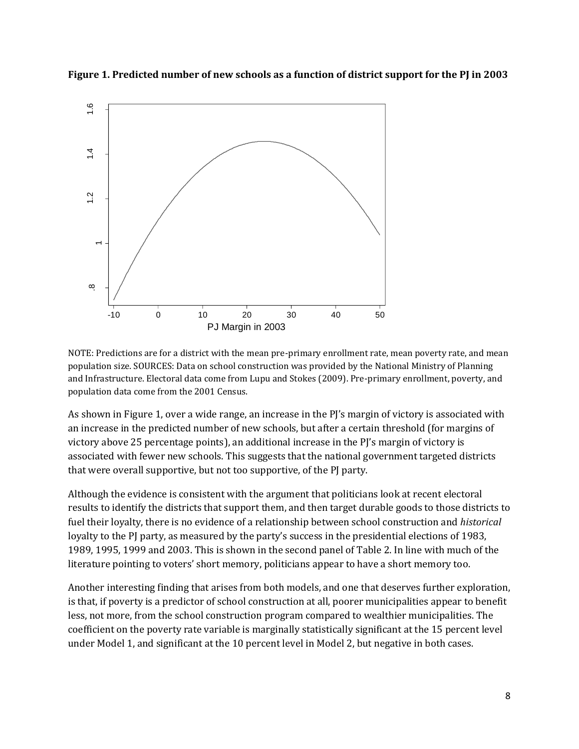**Figure 1. Predicted number of new schools as a function of district support for the PJ in 2003**



NOTE: Predictions are for a district with the mean pre-primary enrollment rate, mean poverty rate, and mean population size. SOURCES: Data on school construction was provided by the National Ministry of Planning and Infrastructure. Electoral data come from Lupu and Stokes (2009). Pre-primary enrollment, poverty, and population data come from the 2001 Census.

As shown in Figure 1, over a wide range, an increase in the PJ's margin of victory is associated with an increase in the predicted number of new schools, but after a certain threshold (for margins of victory above 25 percentage points), an additional increase in the PJ's margin of victory is associated with fewer new schools. This suggests that the national government targeted districts that were overall supportive, but not too supportive, of the PJ party.

Although the evidence is consistent with the argument that politicians look at recent electoral results to identify the districts that support them, and then target durable goods to those districts to fuel their loyalty, there is no evidence of a relationship between school construction and *historical* loyalty to the PJ party, as measured by the party's success in the presidential elections of 1983, 1989, 1995, 1999 and 2003. This is shown in the second panel of Table 2. In line with much of the literature pointing to voters' short memory, politicians appear to have a short memory too.

Another interesting finding that arises from both models, and one that deserves further exploration, is that, if poverty is a predictor of school construction at all, poorer municipalities appear to benefit less, not more, from the school construction program compared to wealthier municipalities. The coefficient on the poverty rate variable is marginally statistically significant at the 15 percent level under Model 1, and significant at the 10 percent level in Model 2, but negative in both cases.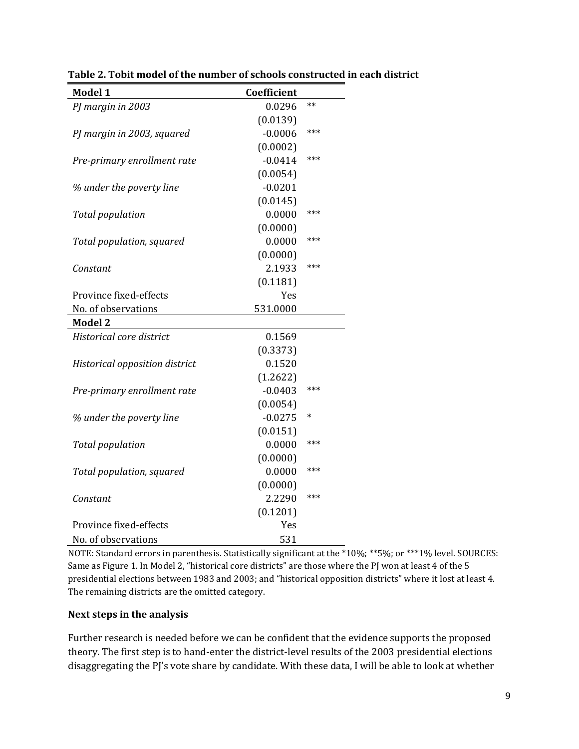| Model 1                        | Coefficient |        |
|--------------------------------|-------------|--------|
| PJ margin in 2003              | 0.0296      | $**$   |
|                                | (0.0139)    |        |
| PJ margin in 2003, squared     | $-0.0006$   | ***    |
|                                | (0.0002)    |        |
| Pre-primary enrollment rate    | $-0.0414$   | ***    |
|                                | (0.0054)    |        |
| % under the poverty line       | $-0.0201$   |        |
|                                | (0.0145)    |        |
| <b>Total population</b>        | 0.0000      | ***    |
|                                | (0.0000)    |        |
| Total population, squared      | 0.0000      | ***    |
|                                | (0.0000)    |        |
| Constant                       | 2.1933      | ***    |
|                                | (0.1181)    |        |
| Province fixed-effects         | Yes         |        |
| No. of observations            | 531.0000    |        |
| <b>Model 2</b>                 |             |        |
| Historical core district       | 0.1569      |        |
|                                | (0.3373)    |        |
| Historical opposition district | 0.1520      |        |
|                                | (1.2622)    |        |
| Pre-primary enrollment rate    | $-0.0403$   | ***    |
|                                | (0.0054)    |        |
| % under the poverty line       | $-0.0275$   | $\ast$ |
|                                | (0.0151)    |        |
| <b>Total population</b>        | 0.0000      | ***    |
|                                | (0.0000)    |        |
| Total population, squared      | 0.0000      | ***    |
|                                | (0.0000)    |        |
| Constant                       | 2.2290      | ***    |
|                                | (0.1201)    |        |
| Province fixed-effects         | Yes         |        |
| No. of observations            | 531         |        |

**Table 2. Tobit model of the number of schools constructed in each district**

NOTE: Standard errors in parenthesis. Statistically significant at the \*10%; \*\*5%; or \*\*\*1% level. SOURCES: Same as Figure 1. In Model 2, "historical core districts" are those where the PJ won at least 4 of the 5 presidential elections between 1983 and 2003; and "historical opposition districts" where it lost at least 4. The remaining districts are the omitted category.

#### **Next steps in the analysis**

Further research is needed before we can be confident that the evidence supports the proposed theory. The first step is to hand-enter the district-level results of the 2003 presidential elections disaggregating the PJ's vote share by candidate. With these data, I will be able to look at whether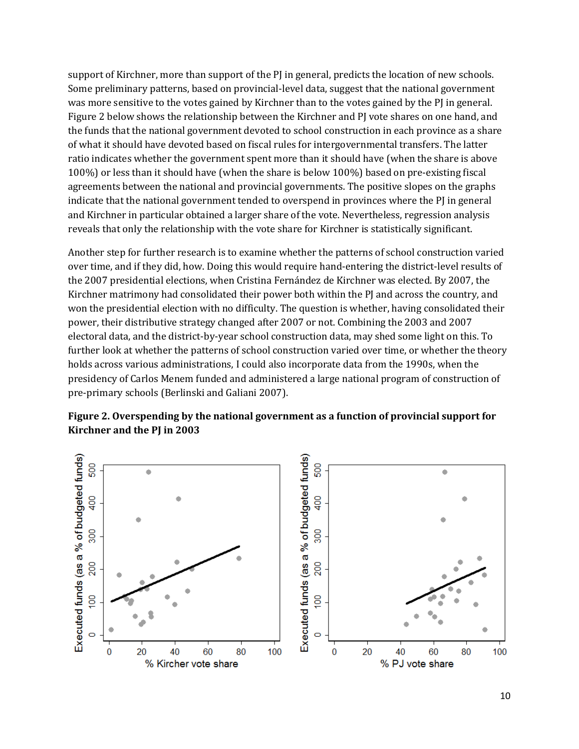support of Kirchner, more than support of the PJ in general, predicts the location of new schools. Some preliminary patterns, based on provincial-level data, suggest that the national government was more sensitive to the votes gained by Kirchner than to the votes gained by the PJ in general. Figure 2 below shows the relationship between the Kirchner and PJ vote shares on one hand, and the funds that the national government devoted to school construction in each province as a share of what it should have devoted based on fiscal rules for intergovernmental transfers. The latter ratio indicates whether the government spent more than it should have (when the share is above 100%) or less than it should have (when the share is below 100%) based on pre-existing fiscal agreements between the national and provincial governments. The positive slopes on the graphs indicate that the national government tended to overspend in provinces where the PJ in general and Kirchner in particular obtained a larger share of the vote. Nevertheless, regression analysis reveals that only the relationship with the vote share for Kirchner is statistically significant.

Another step for further research is to examine whether the patterns of school construction varied over time, and if they did, how. Doing this would require hand-entering the district-level results of the 2007 presidential elections, when Cristina Fernández de Kirchner was elected. By 2007, the Kirchner matrimony had consolidated their power both within the PJ and across the country, and won the presidential election with no difficulty. The question is whether, having consolidated their power, their distributive strategy changed after 2007 or not. Combining the 2003 and 2007 electoral data, and the district-by-year school construction data, may shed some light on this. To further look at whether the patterns of school construction varied over time, or whether the theory holds across various administrations, I could also incorporate data from the 1990s, when the presidency of Carlos Menem funded and administered a large national program of construction of pre-primary schools (Berlinski and Galiani 2007).



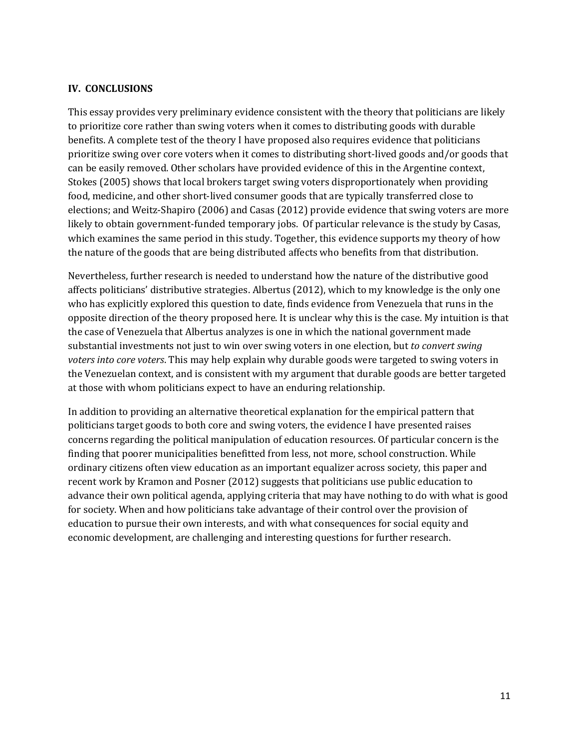#### **IV. CONCLUSIONS**

This essay provides very preliminary evidence consistent with the theory that politicians are likely to prioritize core rather than swing voters when it comes to distributing goods with durable benefits. A complete test of the theory I have proposed also requires evidence that politicians prioritize swing over core voters when it comes to distributing short-lived goods and/or goods that can be easily removed. Other scholars have provided evidence of this in the Argentine context, Stokes (2005) shows that local brokers target swing voters disproportionately when providing food, medicine, and other short-lived consumer goods that are typically transferred close to elections; and Weitz-Shapiro (2006) and Casas (2012) provide evidence that swing voters are more likely to obtain government-funded temporary jobs. Of particular relevance is the study by Casas, which examines the same period in this study. Together, this evidence supports my theory of how the nature of the goods that are being distributed affects who benefits from that distribution.

Nevertheless, further research is needed to understand how the nature of the distributive good affects politicians' distributive strategies. Albertus (2012), which to my knowledge is the only one who has explicitly explored this question to date, finds evidence from Venezuela that runs in the opposite direction of the theory proposed here. It is unclear why this is the case. My intuition is that the case of Venezuela that Albertus analyzes is one in which the national government made substantial investments not just to win over swing voters in one election, but *to convert swing voters into core voters*. This may help explain why durable goods were targeted to swing voters in the Venezuelan context, and is consistent with my argument that durable goods are better targeted at those with whom politicians expect to have an enduring relationship.

In addition to providing an alternative theoretical explanation for the empirical pattern that politicians target goods to both core and swing voters, the evidence I have presented raises concerns regarding the political manipulation of education resources. Of particular concern is the finding that poorer municipalities benefitted from less, not more, school construction. While ordinary citizens often view education as an important equalizer across society, this paper and recent work by Kramon and Posner (2012) suggests that politicians use public education to advance their own political agenda, applying criteria that may have nothing to do with what is good for society. When and how politicians take advantage of their control over the provision of education to pursue their own interests, and with what consequences for social equity and economic development, are challenging and interesting questions for further research.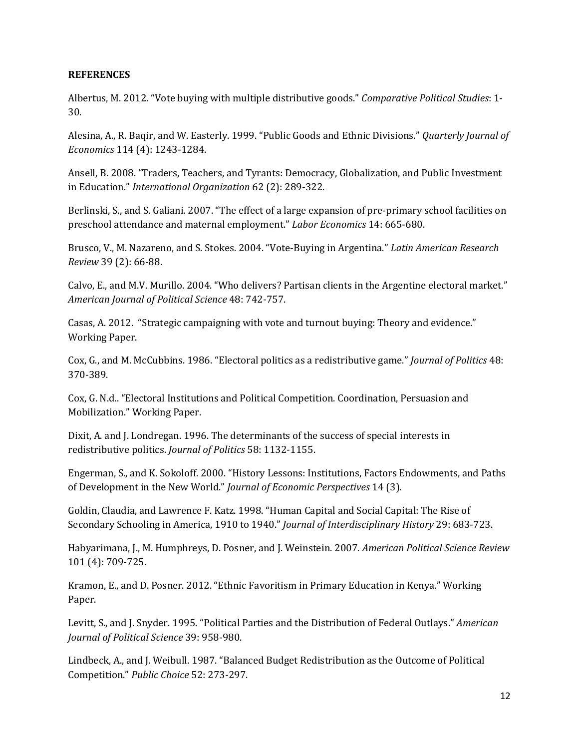#### **REFERENCES**

Albertus, M. 2012. "Vote buying with multiple distributive goods." *Comparative Political Studies*: 1- 30.

Alesina, A., R. Baqir, and W. Easterly. 1999. "Public Goods and Ethnic Divisions." *Quarterly Journal of Economics* 114 (4): 1243-1284.

Ansell, B. 2008. "Traders, Teachers, and Tyrants: Democracy, Globalization, and Public Investment in Education." *International Organization* 62 (2): 289-322.

Berlinski, S., and S. Galiani. 2007. "The effect of a large expansion of pre-primary school facilities on preschool attendance and maternal employment." *Labor Economics* 14: 665-680.

Brusco, V., M. Nazareno, and S. Stokes. 2004. "Vote-Buying in Argentina." *Latin American Research Review* 39 (2): 66-88.

Calvo, E., and M.V. Murillo. 2004. "Who delivers? Partisan clients in the Argentine electoral market." *American Journal of Political Science* 48: 742-757.

Casas, A. 2012. "Strategic campaigning with vote and turnout buying: Theory and evidence." Working Paper.

Cox, G., and M. McCubbins. 1986. "Electoral politics as a redistributive game." *Journal of Politics* 48: 370-389.

Cox, G. N.d.. "Electoral Institutions and Political Competition. Coordination, Persuasion and Mobilization." Working Paper.

Dixit, A. and J. Londregan. 1996. The determinants of the success of special interests in redistributive politics. *Journal of Politics* 58: 1132-1155.

Engerman, S., and K. Sokoloff. 2000. "History Lessons: Institutions, Factors Endowments, and Paths of Development in the New World." *Journal of Economic Perspectives* 14 (3).

Goldin, Claudia, and Lawrence F. Katz. 1998. "Human Capital and Social Capital: The Rise of Secondary Schooling in America, 1910 to 1940." *Journal of Interdisciplinary History* 29: 683-723.

Habyarimana, J., M. Humphreys, D. Posner, and J. Weinstein. 2007. *American Political Science Review* 101 (4): 709-725.

Kramon, E., and D. Posner. 2012. "Ethnic Favoritism in Primary Education in Kenya." Working Paper.

Levitt, S., and J. Snyder. 1995. "Political Parties and the Distribution of Federal Outlays." *American Journal of Political Science* 39: 958-980.

Lindbeck, A., and J. Weibull. 1987. "Balanced Budget Redistribution as the Outcome of Political Competition." *Public Choice* 52: 273-297.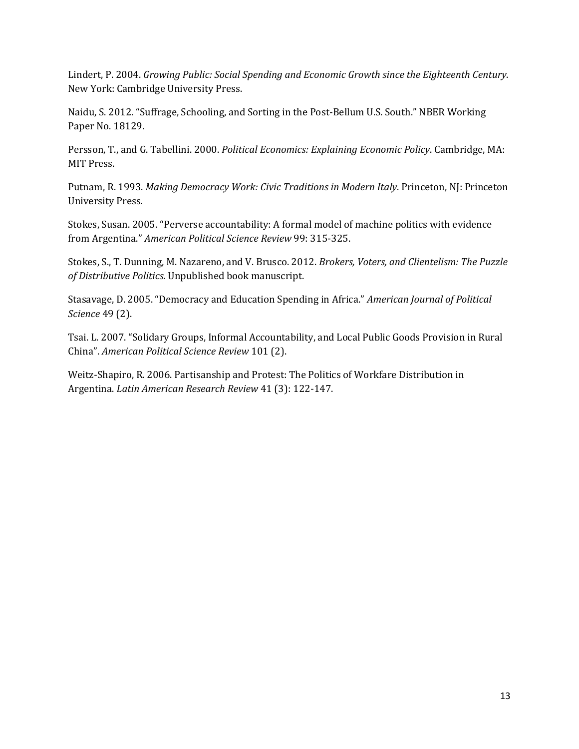Lindert, P. 2004. *Growing Public: Social Spending and Economic Growth since the Eighteenth Century*. New York: Cambridge University Press.

Naidu, S. 2012. "Suffrage, Schooling, and Sorting in the Post-Bellum U.S. South." NBER Working Paper No. 18129.

Persson, T., and G. Tabellini. 2000. *Political Economics: Explaining Economic Policy*. Cambridge, MA: MIT Press.

Putnam, R. 1993. *Making Democracy Work: Civic Traditions in Modern Italy*. Princeton, NJ: Princeton University Press.

Stokes, Susan. 2005. "Perverse accountability: A formal model of machine politics with evidence from Argentina." *American Political Science Review* 99: 315-325.

Stokes, S., T. Dunning, M. Nazareno, and V. Brusco. 2012. *Brokers, Voters, and Clientelism: The Puzzle of Distributive Politics*. Unpublished book manuscript.

Stasavage, D. 2005. "Democracy and Education Spending in Africa." *American Journal of Political Science* 49 (2).

Tsai. L. 2007. "Solidary Groups, Informal Accountability, and Local Public Goods Provision in Rural China". *American Political Science Review* 101 (2).

Weitz-Shapiro, R. 2006. Partisanship and Protest: The Politics of Workfare Distribution in Argentina. *Latin American Research Review* 41 (3): 122-147.